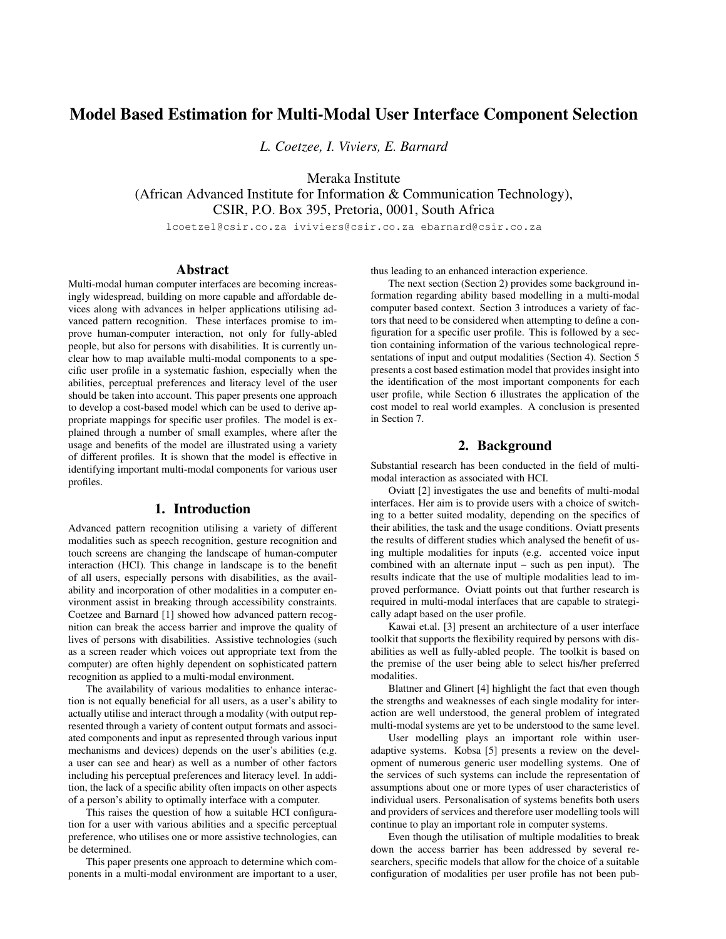# Model Based Estimation for Multi-Modal User Interface Component Selection

*L. Coetzee, I. Viviers, E. Barnard*

Meraka Institute

(African Advanced Institute for Information & Communication Technology), CSIR, P.O. Box 395, Pretoria, 0001, South Africa

lcoetze1@csir.co.za iviviers@csir.co.za ebarnard@csir.co.za

### Abstract

Multi-modal human computer interfaces are becoming increasingly widespread, building on more capable and affordable devices along with advances in helper applications utilising advanced pattern recognition. These interfaces promise to improve human-computer interaction, not only for fully-abled people, but also for persons with disabilities. It is currently unclear how to map available multi-modal components to a specific user profile in a systematic fashion, especially when the abilities, perceptual preferences and literacy level of the user should be taken into account. This paper presents one approach to develop a cost-based model which can be used to derive appropriate mappings for specific user profiles. The model is explained through a number of small examples, where after the usage and benefits of the model are illustrated using a variety of different profiles. It is shown that the model is effective in identifying important multi-modal components for various user profiles.

# 1. Introduction

Advanced pattern recognition utilising a variety of different modalities such as speech recognition, gesture recognition and touch screens are changing the landscape of human-computer interaction (HCI). This change in landscape is to the benefit of all users, especially persons with disabilities, as the availability and incorporation of other modalities in a computer environment assist in breaking through accessibility constraints. Coetzee and Barnard [1] showed how advanced pattern recognition can break the access barrier and improve the quality of lives of persons with disabilities. Assistive technologies (such as a screen reader which voices out appropriate text from the computer) are often highly dependent on sophisticated pattern recognition as applied to a multi-modal environment.

The availability of various modalities to enhance interaction is not equally beneficial for all users, as a user's ability to actually utilise and interact through a modality (with output represented through a variety of content output formats and associated components and input as represented through various input mechanisms and devices) depends on the user's abilities (e.g. a user can see and hear) as well as a number of other factors including his perceptual preferences and literacy level. In addition, the lack of a specific ability often impacts on other aspects of a person's ability to optimally interface with a computer.

This raises the question of how a suitable HCI configuration for a user with various abilities and a specific perceptual preference, who utilises one or more assistive technologies, can be determined.

This paper presents one approach to determine which components in a multi-modal environment are important to a user, thus leading to an enhanced interaction experience.

The next section (Section 2) provides some background information regarding ability based modelling in a multi-modal computer based context. Section 3 introduces a variety of factors that need to be considered when attempting to define a configuration for a specific user profile. This is followed by a section containing information of the various technological representations of input and output modalities (Section 4). Section 5 presents a cost based estimation model that provides insight into the identification of the most important components for each user profile, while Section 6 illustrates the application of the cost model to real world examples. A conclusion is presented in Section 7.

# 2. Background

Substantial research has been conducted in the field of multimodal interaction as associated with HCI.

Oviatt [2] investigates the use and benefits of multi-modal interfaces. Her aim is to provide users with a choice of switching to a better suited modality, depending on the specifics of their abilities, the task and the usage conditions. Oviatt presents the results of different studies which analysed the benefit of using multiple modalities for inputs (e.g. accented voice input combined with an alternate input – such as pen input). The results indicate that the use of multiple modalities lead to improved performance. Oviatt points out that further research is required in multi-modal interfaces that are capable to strategically adapt based on the user profile.

Kawai et.al. [3] present an architecture of a user interface toolkit that supports the flexibility required by persons with disabilities as well as fully-abled people. The toolkit is based on the premise of the user being able to select his/her preferred modalities.

Blattner and Glinert [4] highlight the fact that even though the strengths and weaknesses of each single modality for interaction are well understood, the general problem of integrated multi-modal systems are yet to be understood to the same level.

User modelling plays an important role within useradaptive systems. Kobsa [5] presents a review on the development of numerous generic user modelling systems. One of the services of such systems can include the representation of assumptions about one or more types of user characteristics of individual users. Personalisation of systems benefits both users and providers of services and therefore user modelling tools will continue to play an important role in computer systems.

Even though the utilisation of multiple modalities to break down the access barrier has been addressed by several researchers, specific models that allow for the choice of a suitable configuration of modalities per user profile has not been pub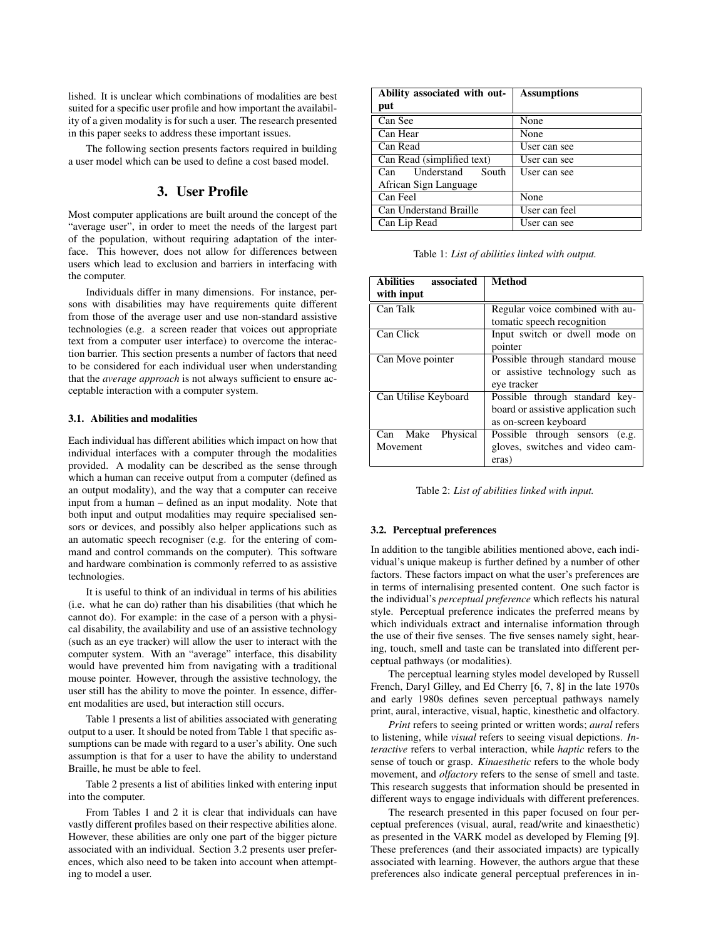lished. It is unclear which combinations of modalities are best suited for a specific user profile and how important the availability of a given modality is for such a user. The research presented in this paper seeks to address these important issues.

The following section presents factors required in building a user model which can be used to define a cost based model.

# 3. User Profile

Most computer applications are built around the concept of the "average user", in order to meet the needs of the largest part of the population, without requiring adaptation of the interface. This however, does not allow for differences between users which lead to exclusion and barriers in interfacing with the computer.

Individuals differ in many dimensions. For instance, persons with disabilities may have requirements quite different from those of the average user and use non-standard assistive technologies (e.g. a screen reader that voices out appropriate text from a computer user interface) to overcome the interaction barrier. This section presents a number of factors that need to be considered for each individual user when understanding that the *average approach* is not always sufficient to ensure acceptable interaction with a computer system.

#### 3.1. Abilities and modalities

Each individual has different abilities which impact on how that individual interfaces with a computer through the modalities provided. A modality can be described as the sense through which a human can receive output from a computer (defined as an output modality), and the way that a computer can receive input from a human – defined as an input modality. Note that both input and output modalities may require specialised sensors or devices, and possibly also helper applications such as an automatic speech recogniser (e.g. for the entering of command and control commands on the computer). This software and hardware combination is commonly referred to as assistive technologies.

It is useful to think of an individual in terms of his abilities (i.e. what he can do) rather than his disabilities (that which he cannot do). For example: in the case of a person with a physical disability, the availability and use of an assistive technology (such as an eye tracker) will allow the user to interact with the computer system. With an "average" interface, this disability would have prevented him from navigating with a traditional mouse pointer. However, through the assistive technology, the user still has the ability to move the pointer. In essence, different modalities are used, but interaction still occurs.

Table 1 presents a list of abilities associated with generating output to a user. It should be noted from Table 1 that specific assumptions can be made with regard to a user's ability. One such assumption is that for a user to have the ability to understand Braille, he must be able to feel.

Table 2 presents a list of abilities linked with entering input into the computer.

From Tables 1 and 2 it is clear that individuals can have vastly different profiles based on their respective abilities alone. However, these abilities are only one part of the bigger picture associated with an individual. Section 3.2 presents user preferences, which also need to be taken into account when attempting to model a user.

| Ability associated with out- | <b>Assumptions</b> |  |
|------------------------------|--------------------|--|
| put                          |                    |  |
| Can See                      | None               |  |
| Can Hear                     | None               |  |
| Can Read                     | User can see       |  |
| Can Read (simplified text)   | User can see       |  |
| Understand<br>South<br>Can   | User can see       |  |
| African Sign Language        |                    |  |
| Can Feel                     | None               |  |
| Can Understand Braille       | User can feel      |  |
| Can Lip Read                 | User can see       |  |

Table 1: *List of abilities linked with output.*

| <b>Abilities</b><br>associated | <b>Method</b>                       |
|--------------------------------|-------------------------------------|
| with input                     |                                     |
| Can Talk                       | Regular voice combined with au-     |
|                                | tomatic speech recognition          |
| Can Click                      | Input switch or dwell mode on       |
|                                | pointer                             |
| Can Move pointer               | Possible through standard mouse     |
|                                | or assistive technology such as     |
|                                | eye tracker                         |
| Can Utilise Keyboard           | Possible through standard key-      |
|                                | board or assistive application such |
|                                | as on-screen keyboard               |
| Physical<br>Make<br>Can        | Possible through sensors<br>(e.g.   |
| Movement                       | gloves, switches and video cam-     |
|                                | eras)                               |

Table 2: *List of abilities linked with input.*

#### 3.2. Perceptual preferences

In addition to the tangible abilities mentioned above, each individual's unique makeup is further defined by a number of other factors. These factors impact on what the user's preferences are in terms of internalising presented content. One such factor is the individual's *perceptual preference* which reflects his natural style. Perceptual preference indicates the preferred means by which individuals extract and internalise information through the use of their five senses. The five senses namely sight, hearing, touch, smell and taste can be translated into different perceptual pathways (or modalities).

The perceptual learning styles model developed by Russell French, Daryl Gilley, and Ed Cherry [6, 7, 8] in the late 1970s and early 1980s defines seven perceptual pathways namely print, aural, interactive, visual, haptic, kinesthetic and olfactory.

*Print* refers to seeing printed or written words; *aural* refers to listening, while *visual* refers to seeing visual depictions. *Interactive* refers to verbal interaction, while *haptic* refers to the sense of touch or grasp. *Kinaesthetic* refers to the whole body movement, and *olfactory* refers to the sense of smell and taste. This research suggests that information should be presented in different ways to engage individuals with different preferences.

The research presented in this paper focused on four perceptual preferences (visual, aural, read/write and kinaesthetic) as presented in the VARK model as developed by Fleming [9]. These preferences (and their associated impacts) are typically associated with learning. However, the authors argue that these preferences also indicate general perceptual preferences in in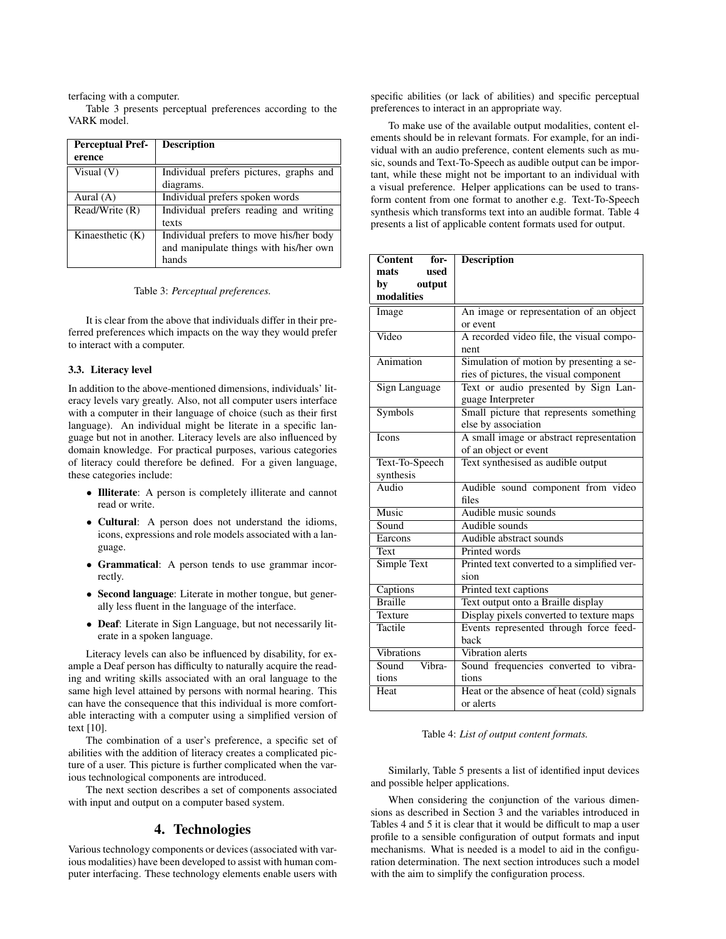terfacing with a computer.

Table 3 presents perceptual preferences according to the VARK model.

| <b>Perceptual Pref-</b> | <b>Description</b>                      |
|-------------------------|-----------------------------------------|
| erence                  |                                         |
| Visual $(V)$            | Individual prefers pictures, graphs and |
|                         | diagrams.                               |
| Aural $(A)$             | Individual prefers spoken words         |
| Read/Write (R)          | Individual prefers reading and writing  |
|                         | texts                                   |
| Kinaesthetic $(K)$      | Individual prefers to move his/her body |
|                         | and manipulate things with his/her own  |
|                         | hands                                   |

Table 3: *Perceptual preferences.*

It is clear from the above that individuals differ in their preferred preferences which impacts on the way they would prefer to interact with a computer.

### 3.3. Literacy level

In addition to the above-mentioned dimensions, individuals' literacy levels vary greatly. Also, not all computer users interface with a computer in their language of choice (such as their first language). An individual might be literate in a specific language but not in another. Literacy levels are also influenced by domain knowledge. For practical purposes, various categories of literacy could therefore be defined. For a given language, these categories include:

- *•* Illiterate: A person is completely illiterate and cannot read or write.
- *•* Cultural: A person does not understand the idioms, icons, expressions and role models associated with a language.
- *•* Grammatical: A person tends to use grammar incorrectly.
- *•* Second language: Literate in mother tongue, but generally less fluent in the language of the interface.
- *•* Deaf: Literate in Sign Language, but not necessarily literate in a spoken language.

Literacy levels can also be influenced by disability, for example a Deaf person has difficulty to naturally acquire the reading and writing skills associated with an oral language to the same high level attained by persons with normal hearing. This can have the consequence that this individual is more comfortable interacting with a computer using a simplified version of text [10].

The combination of a user's preference, a specific set of abilities with the addition of literacy creates a complicated picture of a user. This picture is further complicated when the various technological components are introduced.

The next section describes a set of components associated with input and output on a computer based system.

## 4. Technologies

Various technology components or devices (associated with various modalities) have been developed to assist with human computer interfacing. These technology elements enable users with specific abilities (or lack of abilities) and specific perceptual preferences to interact in an appropriate way.

To make use of the available output modalities, content elements should be in relevant formats. For example, for an individual with an audio preference, content elements such as music, sounds and Text-To-Speech as audible output can be important, while these might not be important to an individual with a visual preference. Helper applications can be used to transform content from one format to another e.g. Text-To-Speech synthesis which transforms text into an audible format. Table 4 presents a list of applicable content formats used for output.

| Content for-              | <b>Description</b>                          |
|---------------------------|---------------------------------------------|
| used<br>mats              |                                             |
| output<br>by              |                                             |
| modalities                |                                             |
| Image                     | An image or representation of an object     |
|                           | or event                                    |
| Video                     | A recorded video file, the visual compo-    |
|                           | nent                                        |
| Animation                 | Simulation of motion by presenting a se-    |
|                           | ries of pictures, the visual component      |
| Sign Language             | Text or audio presented by Sign Lan-        |
|                           | guage Interpreter                           |
| Symbols                   | Small picture that represents something     |
|                           | else by association                         |
| <b>Icons</b>              | A small image or abstract representation    |
|                           | of an object or event                       |
| Text-To-Speech            | Text synthesised as audible output          |
| synthesis                 |                                             |
| $\overline{\text{Audio}}$ | Audible sound component from video          |
|                           | files                                       |
| Music                     | Audible music sounds                        |
| Sound                     | Audible sounds                              |
| Earcons                   | Audible abstract sounds                     |
| Text                      | Printed words                               |
| Simple Text               | Printed text converted to a simplified ver- |
|                           | sion                                        |
| Captions                  | Printed text captions                       |
| <b>Braille</b>            | Text output onto a Braille display          |
| Texture                   | Display pixels converted to texture maps    |
| <b>Tactile</b>            | Events represented through force feed-      |
|                           | back                                        |
| <b>Vibrations</b>         | Vibration alerts                            |
| Sound<br>Vibra-           | Sound frequencies converted to vibra-       |
| tions                     | tions                                       |
| Heat                      | Heat or the absence of heat (cold) signals  |
|                           | or alerts                                   |

#### Table 4: *List of output content formats.*

Similarly, Table 5 presents a list of identified input devices and possible helper applications.

When considering the conjunction of the various dimensions as described in Section 3 and the variables introduced in Tables 4 and 5 it is clear that it would be difficult to map a user profile to a sensible configuration of output formats and input mechanisms. What is needed is a model to aid in the configuration determination. The next section introduces such a model with the aim to simplify the configuration process.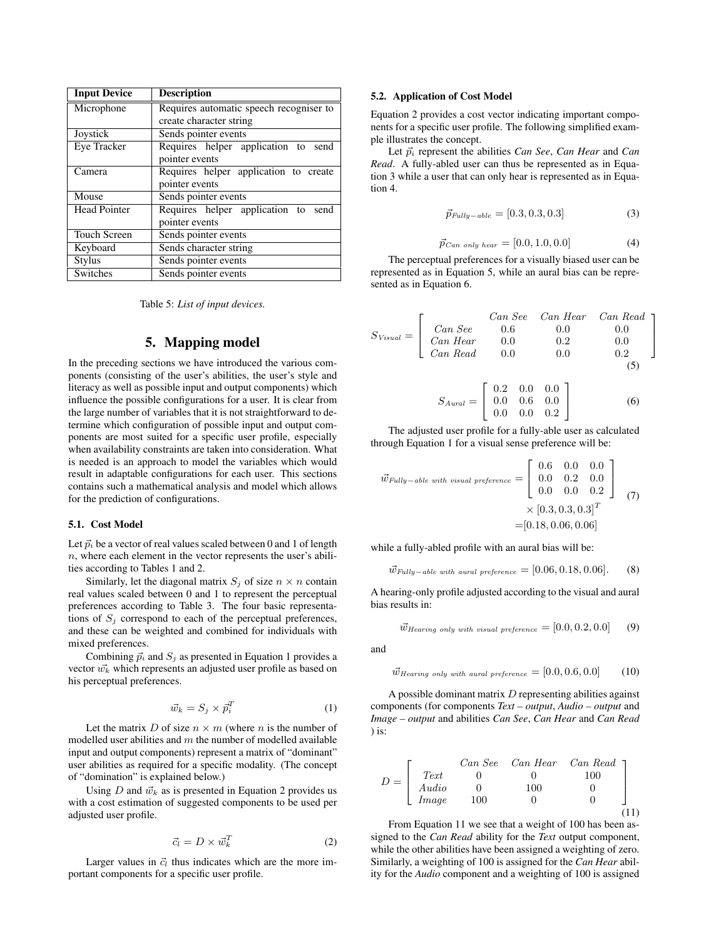| <b>Input Device</b> | <b>Description</b>                      |
|---------------------|-----------------------------------------|
| Microphone          | Requires automatic speech recogniser to |
|                     | create character string                 |
| Joystick            | Sends pointer events                    |
| Eye Tracker         | Requires helper application to send     |
|                     | pointer events                          |
| Camera              | Requires helper application to create   |
|                     | pointer events                          |
| Mouse               | Sends pointer events                    |
| <b>Head Pointer</b> | Requires helper application to send     |
|                     | pointer events                          |
| <b>Touch Screen</b> | Sends pointer events                    |
| Keyboard            | Sends character string                  |
| <b>Stylus</b>       | Sends pointer events                    |
| Switches            | Sends pointer events                    |

Table 5: *List of input devices.*

# 5. Mapping model

In the preceding sections we have introduced the various components (consisting of the user's abilities, the user's style and literacy as well as possible input and output components) which influence the possible configurations for a user. It is clear from the large number of variables that it is not straightforward to determine which configuration of possible input and output components are most suited for a specific user profile, especially when availability constraints are taken into consideration. What is needed is an approach to model the variables which would result in adaptable configurations for each user. This sections contains such a mathematical analysis and model which allows for the prediction of configurations.

#### 5.1. Cost Model

Let  $\vec{p}_i$  be a vector of real values scaled between 0 and 1 of length *n*, where each element in the vector represents the user's abilities according to Tables 1 and 2.

Similarly, let the diagonal matrix  $S_j$  of size  $n \times n$  contain real values scaled between 0 and 1 to represent the perceptual preferences according to Table 3. The four basic representations of  $S_j$  correspond to each of the perceptual preferences, and these can be weighted and combined for individuals with mixed preferences.

Combining  $\vec{p}_i$  and  $S_i$  as presented in Equation 1 provides a vector  $\vec{w_k}$  which represents an adjusted user profile as based on his perceptual preferences.

$$
\vec{w}_k = S_j \times \vec{p}_i^T \tag{1}
$$

Let the matrix *D* of size  $n \times m$  (where *n* is the number of modelled user abilities and *m* the number of modelled available input and output components) represent a matrix of "dominant" user abilities as required for a specific modality. (The concept of "domination" is explained below.)

Using *D* and  $\vec{w}_k$  as is presented in Equation 2 provides us with a cost estimation of suggested components to be used per adjusted user profile.

$$
\vec{c}_l = D \times \vec{w}_k^T \tag{2}
$$

Larger values in  $\vec{c}_l$  thus indicates which are the more important components for a specific user profile.

#### 5.2. Application of Cost Model

Equation 2 provides a cost vector indicating important components for a specific user profile. The following simplified example illustrates the concept.

Let  $\vec{p}_i$  represent the abilities *Can See*, *Can Hear* and *Can Read*. A fully-abled user can thus be represented as in Equation 3 while a user that can only hear is represented as in Equation 4.

$$
\vec{p}_{Fully-able} = [0.3, 0.3, 0.3] \tag{3}
$$

$$
\vec{p}_{Can\ only\ hear} = [0.0, 1.0, 0.0] \tag{4}
$$

The perceptual preferences for a visually biased user can be represented as in Equation 5, while an aural bias can be represented as in Equation 6.

$$
S_{Visual} = \begin{bmatrix} Can See & Can Hear & Can Read \\ Can Hear & 0.6 & 0.0 & 0.0 \\ Can Hear & 0.0 & 0.2 & 0.0 \\ Can Read & 0.0 & 0.0 & 0.2 \end{bmatrix}
$$

$$
S_{Aural} = \begin{bmatrix} 0.2 & 0.0 & 0.0 \\ 0.0 & 0.6 & 0.0 \\ 0.0 & 0.0 & 0.2 \end{bmatrix}
$$
(5)
$$
(6)
$$

The adjusted user profile for a fully-able user as calculated through Equation 1 for a visual sense preference will be:

$$
\vec{w}_{Fully-able\ with\ visual\ preference} = \begin{bmatrix} 0.6 & 0.0 & 0.0 \\ 0.0 & 0.2 & 0.0 \\ 0.0 & 0.0 & 0.2 \end{bmatrix}
$$

$$
\times [0.3, 0.3, 0.3]^T
$$

$$
= [0.18, 0.06, 0.06]
$$
(7)

while a fully-abled profile with an aural bias will be:

$$
\vec{w}_{\text{Fully}-\text{able with }\text{atural preference}} = [0.06, 0.18, 0.06]. \tag{8}
$$

A hearing-only profile adjusted according to the visual and aural bias results in:

$$
\vec{w}_{Hearing\ only\ with\ visual\ preference} = [0.0, 0.2, 0.0] \qquad (9)
$$

and

$$
\vec{w}_{Hearing\ only\ with\ aural\ preference} = [0.0, 0.6, 0.0] \tag{10}
$$

A possible dominant matrix *D* representing abilities against components (for components *Text – output*, *Audio – output* and *Image – output* and abilities *Can See*, *Can Hear* and *Can Read* ) is:

$$
D = \begin{bmatrix} Can \text{ See } Can \text{ Hear } Can \text{ Read} \\ Text & 0 & 0 & 100 \\ Audio & 0 & 100 & 0 \\ Image & 100 & 0 & 0 \end{bmatrix}
$$
(11)

From Equation 11 we see that a weight of 100 has been assigned to the *Can Read* ability for the *Text* output component, while the other abilities have been assigned a weighting of zero. Similarly, a weighting of 100 is assigned for the *Can Hear* ability for the *Audio* component and a weighting of 100 is assigned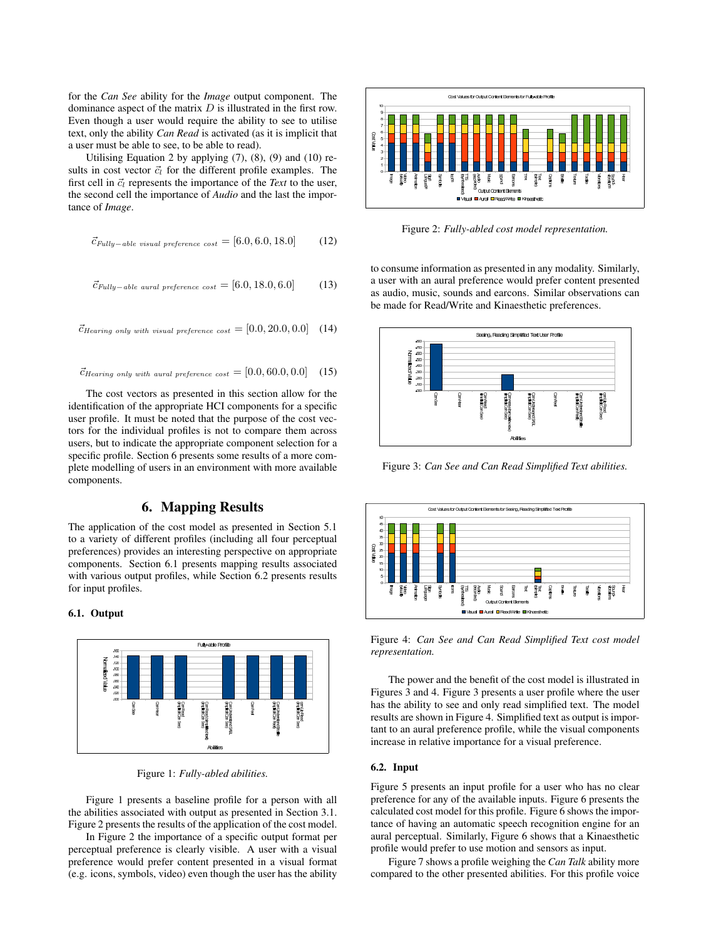for the *Can See* ability for the *Image* output component. The dominance aspect of the matrix *D* is illustrated in the first row. Even though a user would require the ability to see to utilise text, only the ability *Can Read* is activated (as it is implicit that a user must be able to see, to be able to read).

Utilising Equation 2 by applying  $(7)$ ,  $(8)$ ,  $(9)$  and  $(10)$  results in cost vector  $\vec{c}_l$  for the different profile examples. The first cell in  $\vec{c}_l$  represents the importance of the *Text* to the user, the second cell the importance of *Audio* and the last the importance of *Image*.

$$
\vec{c}_{\text{Fully}-able\ visual\ preference\ cost} = [6.0, 6.0, 18.0] \tag{12}
$$

$$
\vec{c}_{\text{Fully}-able\;\text{aural preference\;cost}} = [6.0, 18.0, 6.0] \tag{13}
$$

$$
\vec{c}_{Hearing \ only \ with \ visual \ preference \ cost} = [0.0, 20.0, 0.0] \quad (14)
$$

$$
\vec{c}_{Hearing \ only \ with \ actual \ preference \ cost} = [0.0, 60.0, 0.0] \quad (15)
$$

The cost vectors as presented in this section allow for the identification of the appropriate HCI components for a specific user profile. It must be noted that the purpose of the cost vectors for the individual profiles is not to compare them across users, but to indicate the appropriate component selection for a specific profile. Section 6 presents some results of a more complete modelling of users in an environment with more available components.

# 6. Mapping Results

The application of the cost model as presented in Section 5.1 to a variety of different profiles (including all four perceptual preferences) provides an interesting perspective on appropriate components. Section 6.1 presents mapping results associated with various output profiles, while Section 6.2 presents results for input profiles.

#### 6.1. Output



Figure 1: *Fully-abled abilities.*

Figure 1 presents a baseline profile for a person with all the abilities associated with output as presented in Section 3.1. Figure 2 presents the results of the application of the cost model.

In Figure 2 the importance of a specific output format per perceptual preference is clearly visible. A user with a visual preference would prefer content presented in a visual format (e.g. icons, symbols, video) even though the user has the ability



Figure 2: *Fully-abled cost model representation.*

to consume information as presented in any modality. Similarly, a user with an aural preference would prefer content presented as audio, music, sounds and earcons. Similar observations can be made for Read/Write and Kinaesthetic preferences.



Figure 3: *Can See and Can Read Simplified Text abilities.*



Figure 4: *Can See and Can Read Simplified Text cost model representation.*

The power and the benefit of the cost model is illustrated in Figures 3 and 4. Figure 3 presents a user profile where the user has the ability to see and only read simplified text. The model results are shown in Figure 4. Simplified text as output is important to an aural preference profile, while the visual components increase in relative importance for a visual preference.

### 6.2. Input

Figure 5 presents an input profile for a user who has no clear preference for any of the available inputs. Figure 6 presents the calculated cost model for this profile. Figure 6 shows the importance of having an automatic speech recognition engine for an aural perceptual. Similarly, Figure 6 shows that a Kinaesthetic profile would prefer to use motion and sensors as input.

Figure 7 shows a profile weighing the *Can Talk* ability more compared to the other presented abilities. For this profile voice